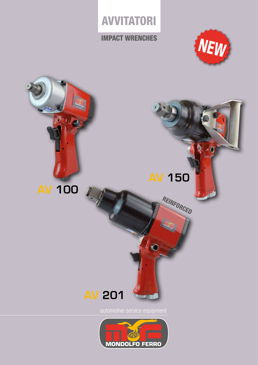## AVVITATORI

## IMPACT WRENCHES



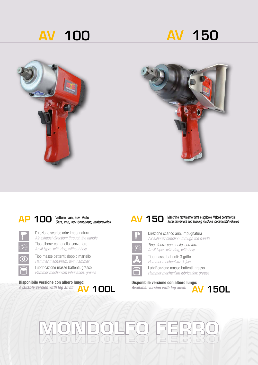





## AP 100 Vetture, van, suv, Moto<br>AV 150 Cars, van, suv tyreshops, *motorcycles*



Direzione scarico aria: impugnatura *Air exhaust direction: through the handle*  Tipo albero: con anello, senza foro *Anvil type: with ring, without hole*

Tipo masse battenti: doppio martello *Hammer mechanism: twin hammer* 

Lubrificazione masse battenti: grasso *Hammer mechanism lubrication: grease*

## Disponibile versione con albero lungo: **AV 100L**

*Available version with log anvil:* 



### Macchine movimento terra e agricole, Veicoli commerciali *Earth movement and farming machine, Commercial vehicles*



Direzione scarico aria: impugnatura *Air exhaust direction: through the handle* 



Tipo albero: con anello, con foro *Anvil type: with ring, with hole*



Tipo masse battenti: 3 griffe



Lubrificazione masse battenti: grasso *Hammer mechanism: 3-jaw* 



*Available version with log anvil:* 

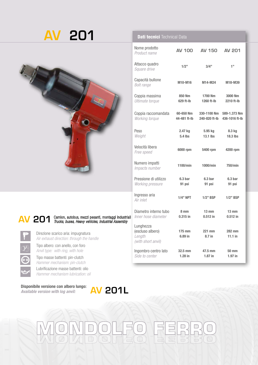# AV 201



 $\Omega$ 

## AV 201 <sup>Camion, autobus, mezzi pesanti, montaggi industriali<br>Trucks, buses, Heavy vehicles, Industrial Assembly</sup> *Trucks, buses, Heavy vehicles, Industrial Assembly*

Direzione scarico aria: impugnatura *Air exhaust direction: through the handle* 

Tipo albero: con anello, con foro *Anvil type: with ring, with hole*

Tipo masse battenti: pin-clutch *Hammer mechanism: pin-clutch* 

Lubrificazione masse battenti: olio *Hammer mechanism lubrication: oil*

Disponibile versione con albero lungo: *Available version with log anvil:* 

## Dati tecnici Technical Data

| Nome prodotto<br>Product name                                 | <b>AV 100</b>                | <b>AV 150</b><br><b>AV 201</b> |                                |
|---------------------------------------------------------------|------------------------------|--------------------------------|--------------------------------|
| Attacco quadro<br>Square drive                                | 1/2"                         | 3/4"                           | 1"                             |
| Capacità bullone<br><b>Bolt range</b>                         | M10-M16                      | M14-M24                        | M18-M39                        |
| Coppia massima<br>Ultimate torque                             | 850 Nm<br>629 ft-lb          | 1700 Nm<br>1260 ft-lb          | 3000 Nm<br>2210 ft-lb          |
| Coppia raccomandata<br>Working torque                         | 60-650 Nm<br>44-481 ft-Ib    | 330-1100 Nm<br>240-820 ft-lb   | 589-1.373 Nm<br>436-1016 ft-lb |
| Peso<br>Weight                                                | 2.47 kg<br>5.4 lbs           | 5.95 kg<br>$13.1$ lbs          | 8.3 kg<br><b>18.3 lbs</b>      |
| Velocità libera<br>Free speed                                 | 6000 rpm                     | 5400 rpm                       | 4200 rpm                       |
| Numero impatti<br>Impacts number                              | 1100/min                     | 1000/min                       | 750/min                        |
| Pressione di utilizzo<br>Working pressure                     | 6.3 <sub>bar</sub><br>91 psi | 6.3 <sub>bar</sub><br>91 psi   | 6.3 <sub>bar</sub><br>91 psi   |
| Ingresso aria<br>Air inlet                                    | $1/4$ " NPT                  | 1/2" BSP                       | $1/2$ " BSP                    |
| Diametro interno tubo<br>Inner hose diameter                  | 8 mm<br>$0.315$ in           | $13 \text{ mm}$<br>$0.512$ in  | $13 \text{ mm}$<br>$0.512$ in  |
| Lunghezza<br>(escluso albero)<br>Length<br>(with short anvil) | 175 mm<br>6.89 in            | 221 mm<br>8.7 in               | 282 mm<br>$11.1$ in            |
| Ingombro centro lato<br>Side to center                        | 32.5 mm<br>$1.28$ in         | 47.5 mm<br>$1.87$ in           | 50 mm<br>$1.97$ in             |

 $\Box$ 

 $\Box$ 

AV 201L